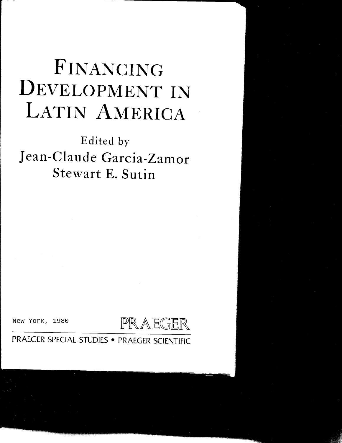# FINANCING DEVELOPMENT IN LATIN AMERICA

Edited by **Jean-Claude Garcia-Zamor Stewart E. Sutin** 

New York, 1980



PRAEGER SPECIAL STUDIES • PRAEGER SCIENTIFIC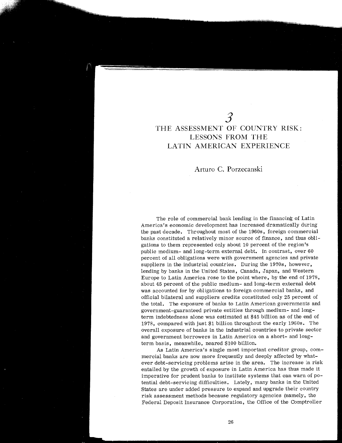## *3*

## THE ASSESSMENT OF COUNTRY RISK: LESSONS FROM THE LATIN AMERICAN EXPERIENCE

### Arturo C. Porzecanski

The role of commercial bank lending in the financing of Latin America's economic development has increased dramatically during the past decade. Throughout most of the 1960s, foreign commercial banks constituted a relatively minor source of finance, and thus obligations to them represented only about 10 percent of the region's public medium- and long-term external debt. In contrast, over 60 percent of all obligations were with government agencies and private suppliers in the industrial countries. During the 1970s, however, lending by banks in the United States, Canada, Japan, and Western Europe to Latin America rose to the point where, by the end of 1978, about 45 percent of the public medium- and long-term external debt was accounted for by obligations to foreign commercial banks, and official bilateral and suppliers credits constituted only 25 percent of the total. The exposure of banks to Latin American governments and government-guaranteed private entities through medium- and longterm indebtedness alone was estimated at \$45 billion as of the end of 1978, compared with just \$1 billion throughout the early 1960s. The overall exposure of banks in the industrial countries to private sector and government borrowers in Latin America on a short- and longterm basis, meanwhile, neared \$100 billion.

As Latin America's single most important creditor group, commercial banks are now more frequently and deeply affected by whatever debt-servicing problems arise in the area. The increase in risk entailed by the growth of exposure in Latin America has thus made it imperative for prudent banks to institute systems that can warn of potential debt-servicing difficulties. Lately, many banks in the United States are under added pressure to expand and upgrade their country risk assessment methods because regulatory agencies (namely, the Federal Deposit Insurance Corporation, the Office of the Comptroller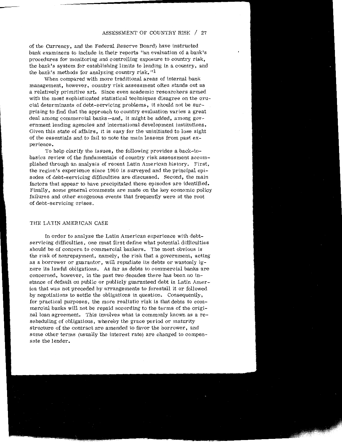of the Currency, and the Federal Reserve Board) have instructed bank examiners to include in their reports "an evaluation of a bank's procedures for monitoring and controlling exposure to country risk, the bank's system for establishing limits to lending in a country, and the bank's methods for analyzing country risk. "1

When compared with more traditional areas of internal bank management, however, country risk assessment often stands out as a relatively primitive art. Since even academic researchers armed with the most sophisticated statistical techniques disagree on the crucial determinants of debt-servicing problems, it should not be surprising to find that the approach to country evaluation varies a great deal among commercial banks-and, it might be added, among government lending agencies and international development institutions. Given this state of affairs, it is easy for the uninitiated to lose sight of the essentials and to fail to note the main lessons from past experience.

To help clarify the issues, the following provides a back-tobasics review of the fundamentals of country risk assessment accomplished through an analysis of recent Latin American history. First, the region's experience since 1960 is surveyed and the principal episodes of debt-servicing difficulties are discussed. Second, the main factors that appear to have precipitated these episodes are identified. Finally, some general comments are made on the key economic policy failures and other exogenous events that frequently were at the root of debt-servicing crises.

#### THE LATIN AMERICAN CASE

In order to analyze the Latin American experience with debtservicing difficulties, one must first define what potential difficulties should be of concern to commercial bankers. The most obvious is the risk of nonrepayment, namely, the risk that a government, acting as a borrower or guarantor, will repudiate its debts or wantonly ignore its lawful obligations. As far as debts to commercial banks are concerned, however, in the past two decades there has been no instance of default on public or publicly guaranteed debt in Latin America that was not preceded by arrangements to forestall it or followed by negotiations to settle the obligations in question. Consequently, for practical purposes, the more realistic risk is that debts to commercial banks will not be repaid according to the terms of the original loan agreement. This involves what is commonly known as a rescheduling of obligations, whereby the grace period or maturity structure of the contract are amended to favor the borrower, and some other terms (usually the interest rate) are changed to compensate the lender.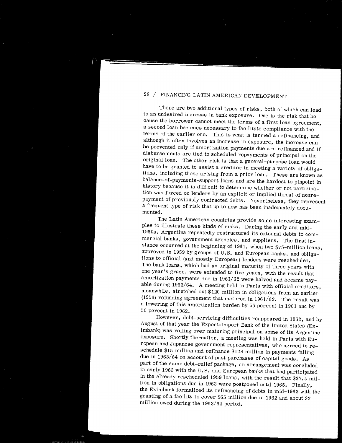There are two additional types of risks, both of which can lead to an undesired increase in bank exposure. One is the risk that because the borrower cannot meet the terms of a first loan agreement, a second loan becomes necessary to facilitate compliance with the terms of the earlier one. This is what is termed a refinancing, and although it often involves an increase in exposure, the increase can be prevented only if amortization payments due are refinanced and if disbursements are tied to scheduled repayments of principal on the original loan. The other risk is that a general-purpose loan would have to be granted to assist a creditor in meeting a variety of obligations, including those arising from a prior loan. These are known as balance-of-payments-support loans and are the hardest to pinpoint in history because it is difficult to determine whether or not participation was forced on lenders by an explicit or implied threat of nonrepayment of previously contracted debts. Nevertheless, they represent a frequent type of risk that up to now has been inadequately documented.

The Latin American countries provide some interesting examples to illustrate these kinds of risks. During the early and mid-1960s, Argentina repeatedly restructured its external debts to commercial banks, government agencies, and suppliers. The first instance occurred at the beginning of 1961, when two \$75-million loans, approved in 1959 by groups of U.S. and European banks, and obligations to official (and mostly European) lenders were rescheduled. The bank loans, which had an original maturity of three years with one year's grace, were extended to five years, with the result that amortization payments due in 1961/62 were halved and became payable during 1963/64. A meeting held in Paris with official creditors, meanwhile, stretched out \$120 million in obligations from an earlier (1956) refunding agreement that matured in 1961/62. The result was a lowering of this amortization burden by 55 percent in 1961 and by 50 percent in 1962.

However, debt-servicing difficulties reappeared in 1962, and by August of that year the Export-Import Bank of the United States (Eximbank) was rolling over maturing principal on some of its Argentine exposure. Shortly thereafter, a meeting was held in Paris with European and Japanese government representatives, who agreed to reschedule \$15 million and refinance \$128 million in payments falling due in 1963/64 on account of past purchases of capital goods. As part of the same debt-relief package, an arrangement was concluded in early 1963 with the U.S. and European banks that had participated in the already rescheduled 1959 loans, with the result that \$37.5 million *in* obligations due *in* 1963 were postponed until 1965. Finally, the Eximbank formalized its refinancing of debts in mid-1963 with the granting of a facility to cover \$65 million due in 1962 and about \$2 million owed during the 1963/64 period.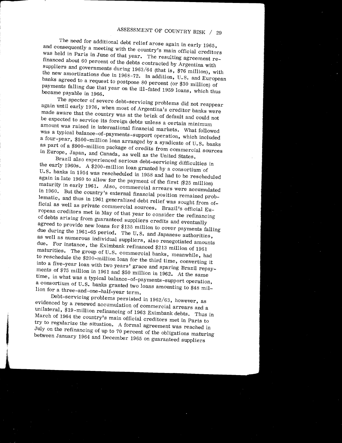The need for additional debt relief arose again in early 1965, and consequently a meeting with the country's main official creditors was held in Paris in June of that year. The resulting agreement refinanced about 60 percent of the debts contracted by Argentina with suppliers and governments during 1963/64 (that is, \$76 million), with the new amortizations due in 1968-72. In addition, U.S. and European banks agreed to a request to postpone 80 percent (or \$30 million) of payments falling due that year on the ill-fated 1959 loans, which thus became payable in 1966.

The specter of severe debt-servicing problems did not reappear again until early 1976, when most of Argentina's creditor banks were made aware that the country was at the brink of default and could not be expected to service its foreign debts unless a certain minimum amount was raised in international financial markets. What followed was a typical balance-of-payments-support operation, which included a four-year, \$500-million loan arranged by a syndicate of U.S. banks as part of a \$900-million package of credits from commercial sources in Europe, Japan, and Canada, as well as the United States.

Brazil also experienced serious debt-servicing difficulties in the early 1960s. A \$200-million loan granted by a consortium of U.S. banks in 1954 was rescheduled in 1958 and had to be rescheduled again in late 1960 to allow for the payment of the first (\$25 million) maturity in early 1961. Also, commercial arrears were accumulated in 1960. But the country's external financial position remained problematic, and thus in 1961 generalized debt relief was sought from official as well as private commercial sources. Brazil's official European creditors met in May of that year to consider the refinancing of debts arising from guaranteed suppliers credits and eventually agreed to provide new loans for \$135 million to cover payments falling due during the 1961-65 period. The U.S. and Japanese authorities, as well as numerous individual suppliers, also renegotiated amounts due. For instance, the Eximbank refinanced \$213 million of 1961 maturities. The group of U.S. commercial banks, meanwhile, had to reschedule the \$200-million loan for the third time, converting it into a five-year loan with two years' grace and sparing Brazil repayments of \$75 million in 1961 and \$50 million in 1962. At the same time, in what was a typical balance-of-payments-support operation, a consortium of U.S. banks granted two loans amounting to \$48 million for a three-and-one-half-year term.

Debt-servicing problems persisted in 1962/63, however, as evidenced by a renewed accumulation of commercial arrears and a unilateral, \$19-million refinancing of 1963 Eximbank debts. Thus in March of 1964 the country's main official creditors met in Paris to try to regularize the situation. A formal agreement was reached in July on the refinancing of up to 70 percent of the obligations maturing between January 1964 and December 1965 on guaranteed suppliers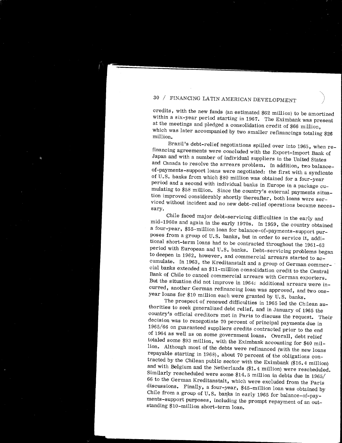credits, with the new funds (an estimated \$62 million) to be amortized within a six-year period starting in 1967. The Eximbank was present at the meetings and pledged a consolidation credit of \$66 million, which was later accompanied by two smaller refinancings totaling \$26 million.

Brazil's debt-relief negotiations spilled over into 1965, when refinancing agreements were concluded with the Export-Import Bank of Japan and with a number of individual suppliers in the United States and Canada to resolve the arrears problem. In addition, two balanceof-payments-support loans were negotiated: the first with a syndicate of U.S. banks from which \$80 million was obtained for a four-year period and a second with individual banks in Europe in a package cumulating to \$58 million. Since the country's external payments situation improved considerably shortly thereafter, both loans were serviced without incident and no new debt-relief operations became necessary.

Chile faced major debt-servicing difficulties in the early and mid-1960s and again in the early 1970s. In 1959, the country obtained a four-year, \$55-million loan for balance-of-payments-support purposes from a group of U.S. banks, but in order to service it, additional short-term loans had to be contracted throughout the 1961-63 period with European and U.S. banks. Debt-servicing problems began to deepen in 1962, however, and commercial arrears started to accumulate. In 1963, the Kreditanstalt and a group of German commercial banks extended an \$11-million consolidation credit to the Central Bank of Chile to cancel commercial arrears with German exporters. But the situation did not improve in 1964: additional arrears were incurred, another German refinancing loan was approved, and two oneyear loans for \$10 million each were granted by U.S. banks.

The prospect of renewed difficulties in 1965 led the Chilean authorities to seek generalized debt relief, and in January of 1965 the country's official creditors met in Paris to discuss the request. Their decision was to renegotiate 70 percent of principal payments due in 1965/66 on guaranteed suppliers credits contracted prior to the end of 1964 as well as on some government loans. Overall, debt relief totaled some \$93 million, with the Eximbank accounting for \$40 million. Although most of the debts were refinanced (with the new loans repayable starting in 1968), about 70 percent of the obligations contracted by the Chilean public sector with the Eximbank (\$16. 4 million) and with Belgium and the Netherlands (\$1. 4 million) were rescheduled. Similarly rescheduled were some \$14. 5 million in debts due in 1965/ *66* to the German Kreditanstalt, which were excluded from the Paris discussions. Finally, a four-year, \$45-million loan was obtained by Chile from a group of U.S. banks in early 1965 for balance-of-payments-support purposes, including the prompt repayment of an outstanding \$10-million short-term loan.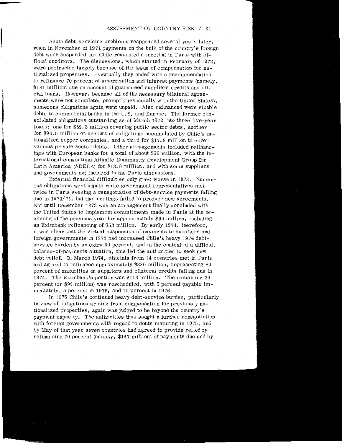Acute debt-servicing problems reappeared several years later, when in November of 1971 payments on the bulk of the country's foreign debt were suspended and Chile requested a meeting in Paris with official creditors. The discussions, which started in February of 1972, were protracted largely because of the issue of compensation for nationalized properties. Eventually they ended with a recommendation to refinance 70 percent of amortization and interest payments (namely, \$181 million) due on account of guaranteed suppliers credits and official loans. However, because all of the necessary bilateral agreements were not completed promptly (especially with the United States), numerous obligations again went unpaid. Also refinanced were sizable debts to commercial banks in the U.S. and Europe. The former consolidated obligations outstanding as of March 1972 into three five-year loans: one for \$52. 2 million covering public sector debts, another for \$90.5 million on account of obligations accumulated by Chile's nationalized copper companies, and a third for \$17. 8 million to cover various private sector debts. Other arrangements included refinancings with European banks for a total of about \$60 million, with the international consortium Atlantic Community Development Group for Latin America (ADELA) for \$13. 8 million, and with some suppliers and governments not included in the Paris discussions.

External financial difficulties only grew worse in 1973. Numerous obligations went unpaid while government representatives met twice in Paris seeking a renegotiation of debt-service payments falling due in 1973/74, but the meetings failed to produce new agreements. Not until December 1973 was an arrangement finally concluded with the United States to implement commitments made in Paris at the beginning of the previous year for approximately \$90 million, including an Eximbank refinancing of \$53 million. By early 1974, therefore, it was clear that the virtual suspension of payments to suppliers and foreign governments in 1973 had increased Chile's heavy 1974 debtservice burden by an extra 50 percent, and in the context of a difficult balance-of-payments situation, this led the authorities to seek new debt relief. In March 1974, officials from 14 countries met in Paris and agreed to refinance approximately \$380 million, representing 80 percent of maturities on suppliers and bilateral credits falling due in 1974. The Eximbank's portion was \$113 million. The remaining 20 percent (or \$96 million) was rescheduled, with 5 percent payable immediately, 5 percent in 1975, and 10 percent in 1976.

In 1975 Chile's continued heavy debt-service burden, particularly in view of obligations arising from compensation for previously nationalized properties, again was judged to be beyond the country's payment capacity. The authorities thus sought a further renegotiation with foreign governments with regard to debts maturing in 1975, and by May of that year seven countries had agreed to provide relief by refinancing 70 percent (namely, \$147 million) of payments due and by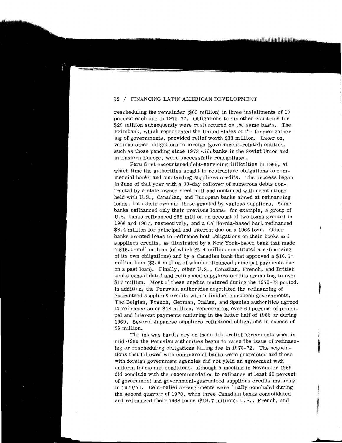rescheduling the remainder (\$63 million) in three installments of 10 percent each due in 1975-77. Obligations to six other countries for \$29 million subsequently were restructured on the same basis. The Eximbank, which represented the United States at the former gathering of governments, provided relief worth \$33 million. Later on, various other obligations to foreign (government-related) entities, such as those pending since 1973 with banks in the Soviet Union and in Eastern Europe, were successfully renegotiated.

Peru first encountered debt-servicing difficulties in 1968, at which time the authorities sought to restructure obligations to commercial banks and outstanding suppliers credits. The process began in June of that year with a 90-day rollover of numerous debts contracted by a state-owned steel mill and continued with negotiations held with U.S., Canadian, and European banks aimed at refinancing loans, both their own and those granted by various suppliers. Some banks refinanced only their previous loans: for example, a group of U.S. banks refinanced \$68 million on account of two loans granted in 1966 and 1967, respectively, and a California-based bank refinanced \$8.4 million for principal and interest due on a 1965 loan. Other banks granted loans to refinance both obligations on their books and suppliers credits, as illustrated by a New York-based bank that made a \$16. 5-million loan (of which \$5.4 million constituted a refinancing of its own obligations) and by a Canadian bank that approved a \$10.5 million loan (\$3. 9 million of which refinanced principal payments due on a past loan). Finally, other U.S., Canadian, French, and British banks consolidated and refinanced suppliers credits amounting to over \$17 million. Most of these credits matured during the 1970-73 period. In addition, the Peruvian authorities negotiated the refinancing of guaranteed suppliers credits with individual European governments. The Belgian, French, German, Italian, and Spanish authorities agreed to refinance some \$48 million, representing over 60 percent of principal and interest payments maturing in the latter half of 1968 or during 1969. Several Japanese suppliers refinanced obligations in excess of \$6 million.

The ink was hardly dry on these debt-relief agreements when in j mid-1969 the Peruvian authorities began to raise the issue of refinancing or rescheduling obligations falling due in 1970-72. The negotiations that followed with commercial banks were protracted and those with foreign government agencies did not yield an agreement with uniform terms and conditions, although a meeting in November 1969 did conclude with the recommendation to refinance at least 60 percent of government and government-guaranteed suppliers credits maturing in 1970/71. Debt-relief arrangements were finally concluded during the second quarter of 1970, when three canadian banks consolidated and refinanced their 1968loans (\$19. 7 million); U.S., French, and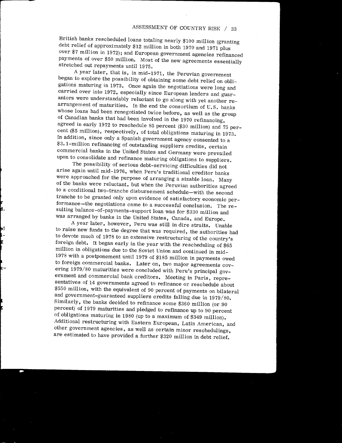British banks rescheduled loans totaling nearly \$100 million (granting debt relief of approximately \$12 million in both 1970 and 1971 plus over \$7 million in 1972); and European government agencies refinanced payments of over \$50 million. Most of the new agreements essentially stretched out repayments until 1975.

*A* year later, that is, in mid-1971, the Peruvian government began to explore the possibility of obtaining some debt relief on obligations maturing in 1973. Once again the negotiations were long and carried over into 1972, especially since European lenders and guarantors were understandably reluctant to go along with yet another rearrangement of maturities. In the end the consortium of U.S. banks whose loans had been renegotiated twice before, as well as the group of Canadian banks that had been involved in the 1970 refinancing, agreed in early 1972 to reschedule 85 percent (\$30 million) and 75 percent (\$5 million), respectively, of total obligations maturing in 1973. In addition, since only a Spanish government agency consented to a \$3. 1-million refinancing of outstanding suppliers credits, certain commercial banks in the United States and Germany were prevailed upon to consolidate and refinance maturing obligations to suppliers.

The possibility of serious debt-servicing difficulties did not arise again until mid-1976, when Peru's traditional creditor banks were approached for the purpose of arranging a sizable loan. Many of the banks were reluctant, but when the Peruvian authorities agreed to a conditional two-tranche disbursement schedule-with the second tranche to be granted only upon evidence of satisfactory economic performance-the negotiations came to a successful conclusion. The resulting balance-of-payments-support loan was for \$330 million and was arranged by banks in the United States, Canada, and Europe.

*A* year later, however, Peru was still in dire straits. Unable to raise new funds to the degree that was required, the authorities had to devote much of 1978 to an extensive restructuring of the country's foreign debt. It began early in the year with the rescheduling of \$65 million in obligations due to the Soviet Union and continued in mid-1978 with a postponement until 1979 of \$185 million in payments owed to foreign commercial banks. Later on, two major agreements covering 1979/80 maturities were concluded with Peru's principal government and commercial bank creditors. Meeting in Paris, representatives of 14 governments agreed to refinance or reschedule about \$550 million, with the equivalent of 90 percent of payments on bilateral and government-guaranteed suppliers credits falling due in 1979/80. Similarly, the banks decided to refinance some \$360 million (or 90 percent) of 1979 maturities and pledged to refinance up to 90 percent of obligations maturing in 1980 (up to a maximum of \$349 million). Additional restructuring with Eastern European, Latin American, and other government agencies, as well as certain minor reschedulings, are estimated to have provided a further \$320 million in debt relief.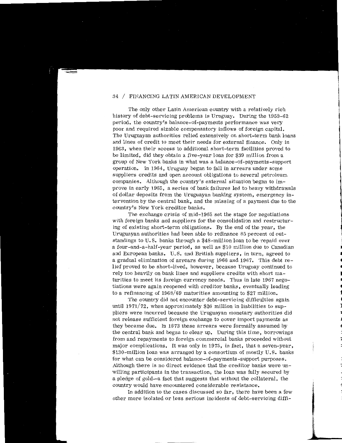The only other Latin American country with a relatively rich history of debt-servicing problems is Uruguay. During the 1959-62 period, the country's balance-of-payments performance was very poor and required sizable compensatory inflows of foreign capital. The Uruguayan authorities relied extensively on short-term bank loans and lines of credit to meet their needs for external finance. Only in 1963, when their access to additional short-term facilities proved to be limited, did they obtain a five-year loan for \$39 million from a group of New York banks in what was a balance-of-payments-support operation. In 1964, Uruguay began to fall in arrears under some suppliers credits and open account obligations to several petroleum companies. Although the country's external situation began to improve in early 1965, a series of bank failures led to heavy withdrawals of dollar deposits from the Uruguayan banking system, emergency intervention by the central bank, and the missing of a payment due to the country's New York creditor banks.

The exchange crisis of mid-1965 set the stage for negotiations with foreign banks and suppliers for the consolidation and restructuring of existing short-term obligations. By the end of the year, the Uruguayan authorities had been able to refinance 85 percent of outstandings to U.s. banks through a \$48-million loan to be repaid over a four-and-a-half-year period, as well as \$10 million due to Canadian and European banks. U.S. and British suppliers, in turn, agreed to a gradual elimination of arrears during 1966 and 1967. This debt relief proved to be short-lived, however, because Uruguay continued to rely too heavily on bank lines and suppliers credits with short maturities to meet its foreign currency needs. Thus in late 1967 negotiations were again reopened with creditor banks, eventually leading to a refinancing of 1968/69 maturities amounting to \$27 million.

The country did not encounter debt-servicing difficulties again until 1971/72, when approximately \$26 million in liabilities to suppliers were incurred because the Uruguayan monetary authorities did not release sufficient foreign exchange to cover import payments as they became due. In 1973 these arrears were formally assumed by the central bank and began to clear up. During this time, borrowings from and repayments to foreign commercial banks proceeded without major complications. It was only in 1975, in fact, that a seven-year, \$130-million loan was arranged by a consortium of mostly U.S. banks for what can be considered balance-of-payments-support purposes. Although there is no direct evidence that the creditor banks were unwilling participants in the transaction, the loan was fully secured by a pledge of gold-a fact that suggests that without the collateral, the country would have encountered considerable resistance.

In addition to the cases discussed so far, there have been a few other more isolated or less serious incidents of debt-servicing diffi-

**Little Communication**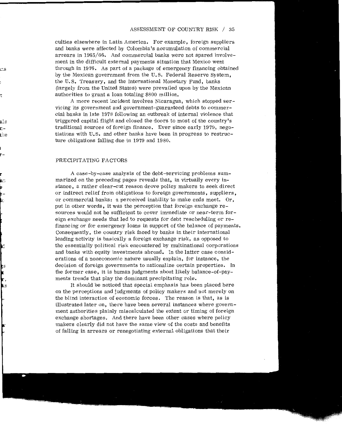culties elsewhere in Latin America. For example, foreign suppliers and banks were affected by Colombia's accumulation of commercial arrears in 1965/66. And commercial banks were not spared involvement in the difficult external payments situation that Mexico went through in 1976. As part of a package of emergency financing obtained by the Mexican government from the U.S. Federal Reserve System, the U.S. Treasury, and the International Monetary Fund, banks (largely from the United States) were prevailed upon by the Mexican authorities to grant a loan totaling \$800 million.

A more recent incident involves Nicaragua, which stopped servicing its government and government-guaranteed debts to commercial banks in late 1978 following an outbreak of internal violence that triggered capital flight and closed the doors to most of the country's traditional sources of foreign finance. Ever since early 1979, negotiations with U.S. and other banks have been in progress to restructure obligations falling due in 1979 and 1980.

#### PRECIPITATING FACTORS

A case-by-case analysis of the debt-servicing problems summarized on the preceding pages reveals that, in virtually every instance, a rather clear-cut reason drove policy makers to seek direct or indirect relief from obligations to foreign governments, suppliers, or commercial banks: a perceived inability to make ends meet.  $O_r$ , put in other words, it was the perception that foreign exchange resources would not be sufficient to cover immediate or near-term foreign exchange needs that led to requests for debt rescheduling or refinancing or for emergency loans in support of the balance of payments. Consequently, the country risk faced by banks in their international lending activity is basically a foreign exchange risk, as opposed to the essentially political risk encountered by multinational corporations and banks with equity investments abroad. In the latter case considerations of a noneconomic nature usually explain, for instance, the decision of foreign governments to nationalize certain properties. In the former case, it is human judgments about likely balance-of-payments trends that play the dominant precipitating role.

It should be noticed that special emphasis has been placed here on the perceptions and judgments of policy makers and not merely on the blind interaction of economic forces. The reason is that, as is illustrated later on, there have been several instances where government authorities plainly miscalculated the extent or timing of foreign exchange shortages. And there have been other cases where policy makers clearly did not have the same view of the costs and benefits of falling in arrears or renegotiating external obligations that their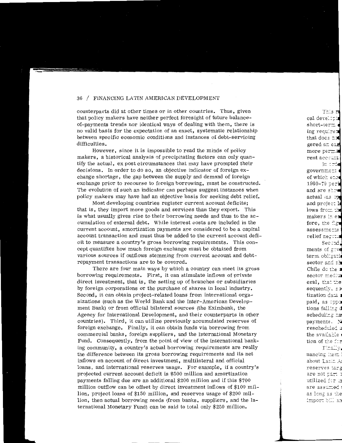counterparts did at other times or in other countries. Thus, given that policy makers have neither perfect foresight of future balanceof-payments trends nor identical ways of dealing with them, there is no valid basis for the expectation of an exact, systematic relationship between specific economic conditions and instances of debt-servicing difficulties.

However, since it is impossible to read the minds of policy makers, a historical analysis of precipitating factors can only quantify the actual, ex post circumstances that may have prompted their decisions. In order to do so, an objective indicator of foreign exchange shortage, the gap between the supply and demand of foreign exchange prior to recourse to foreign borrowing, must be constructed. The evolution of such an indicator can perhaps suggest instances when policy makers may have had an objective basis for seeking debt relief.

Most developing countries register current account deficits; that is, they import more goods and services than they export. This is what usually gives rise to their borrowing needs and thus to the accumulation of external debt. While interest costs are included in the current account, amortization payments are considered to be a capital account transaction and must thus be added to the current account deficit to measure a country's gross borrowing requirements. This concept quantifies how much foreign exchange must be obtained from various sources if outflows stemming from current account and debtrepayment transactions are to be covered.

There are four main ways by which a country can meet its gross borrowing requirements. First, it can stimulate inflows of private direct investment, that is, the setting up of branches or subsidiaries by foreign corporations or the purchase of shares in local industry. Second, it can obtain project-related loans from international organizations (such as the World Bank and the Inter-American Development Bank) or from official bilateral sources (the Eximbank, the Agency for International Development, and their counterparts in other countries). Third, it can utilize previously accumulated reserves of foreign exchange. Finally, it can obtain funds via borrowing from commercial banks, foreign suppliers, and the International Monetary Fund. Consequently, from the point of view of the international banking community, a country's actual borrowing requirements are really the difference between its gross borrowing requirements and its net inflows on account of direct investment, multilateral and official loans, and international reserves usage. For example, if a country's projected current account deficit is \$500 million and amortization payments falling due are an additional \$200 million and if this \$700 million outflow can be offset by direct investment inflows of \$100 million, project loans of \$150 million, and reserves usage of \$200 million, then actual borrowing needs (from banks, suppliers, and the International Monetary Fund) can be said to total only \$250 million.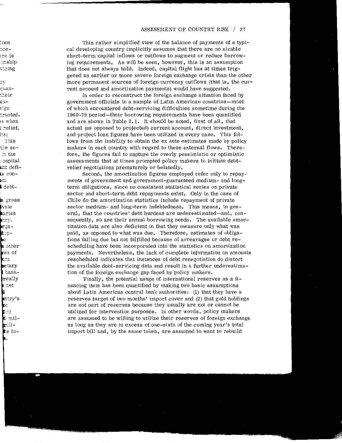This rather simplified view of the balance of payments of a typical developing country implicitly assumes that there are no sizable short-term capital inflows or outflows to augment or reduce borrowing requirements. As will be seen, however, this is an assumption that does not always hold. Indeed, capital flight has at times triggered an earlier or more severe foreign exchange crisis than the other more permanent sources of foreign currency outflows (that is, the current account and amortization payments) would have suggested.

In order to reconstruct the foreign exchange situation faced by government officials in a sample of Latin American countries-most of which encountered debt-servicing difficulties sometime during the 1960-79 period-their borrowing requirements have been quantified and are shown in Table 3. 1. It should be noted, first of all, that actual (as opposed to projected) current account, direct investment, and project loan figures have been utilized in every case. This follows from the inability to obtain the ex ante estimates made by policy makers in each country with regard to these external flows. Therefore, the figures fail to capture the overly pessimistic or optimistic assessments that at times prompted policy makers to initiate debtrelief negotiations prematurely or belatedly.

Second, the amortization figures employed refer only to repayments of government and government-guaranteed medium- and longterm obligations, since no consistent statistical series on private sector and short-term debt repayments exist. Only in the case of Chile do the amortization statistics include repayment of private sector medium- and long-term indebtedness. This means, in general, that the countries' debt burdens are underestimated-and, consequently, so are their annual borrowing needs. The available amortization data are also deficient in that they measure only what was paid, as opposed to what was due. Therefore, estimates of obligations falling due but not fulfilled because of arrearages or debt rescheduling have been incorporated into the statistics on amortization payments. Nevertheless, the lack of complete information on amounts rescheduled indicates that instances of debt renegotiation do distort the available debt-servicing data and result in a further underestimation of the foreign exchange gap faced by policy makers.

Finally, the potential usage of international reserves as a financing item has been quantified by making two basic assumptions about Latin American central bank authorities: (1) that they have a reserves target of two months' import cover and (2) that gold holdings are not part of reserves because they usually are not or cannot be utilized for intervention purposes. In other words, policy makers are assumed to be willing to utilize their reserves of foreign exchange as long as they are in excess of one-sixth of the coming year's total import bill and, by the same token, are assumed to want to rebuild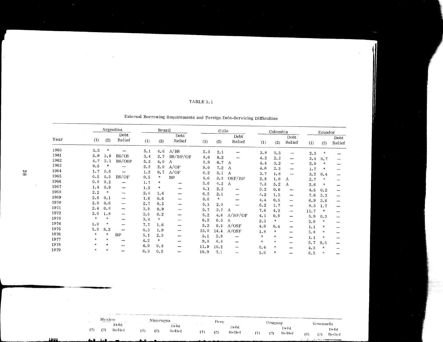#### TABLE 3.1

 $\sim$ 

## External Borrowing Requirements and Foreign Debt-Servicing Difficulties

|         |      |        | Argentina |                          | Brazil |             |           | Chile |         |                          | Colombia |        |                          | Ecuador    |               |        |
|---------|------|--------|-----------|--------------------------|--------|-------------|-----------|-------|---------|--------------------------|----------|--------|--------------------------|------------|---------------|--------|
|         | Year |        |           | Debt                     |        |             | Debt      |       |         | Debt                     |          |        | Debt                     |            |               | Debt   |
|         |      | (1)    | (2)       | Relief                   | (1)    | (2)         | Relief    | (1)   | (2)     | Relief                   | (1)      | (2)    | Relief                   | (1)        | (2)           | Relief |
|         | 1960 | 3.5    | $\ast$    |                          | 5.1    | 4.6         | A/BS      | 5.3   | 2.1     | —                        | 3.8      | 0.5    |                          | 2.3        | $\ast$        |        |
|         | 1961 | 5.9    | 3.9       | BS/OS                    | 3.4    | 2.7         | BS/BP/OF  | 8.6   | 6.2     | --                       | 4.2      | 2.2    |                          |            |               |        |
|         | 1962 | 4.7    | 3.1       | BS/OSF                   | 5.2    | 4.0         | А         | 8.9   | 6.7     | A                        | 4.4      | 3.2    | -                        | 3.4<br>2.0 | 0.7<br>$\ast$ | --     |
|         | 1963 | 0.5    | $\ast$    |                          | 2.2    | 2.0         | A/OF      | 9.0   | 7.2     | A                        | 4.0      | 2.3    | $\overline{\phantom{0}}$ |            | $\ast$        | ---    |
| သ<br>၁၀ | 1964 | 1.7    | 0.6       | --                       | 1.2    | 0.7         | A/OF      | 6.2   | 5.1     | A                        | 3.7      |        | -                        | 1.7        |               |        |
|         | 1965 | 0.5    | 0.5       | BS/OF                    | 0.5    | $\ast$      | <b>BP</b> | 4.6   | 3.3     | OSF/BP                   |          | 1.8    | -                        | 3.2        | 0,4           | --     |
|         | 1966 | 0.8    | 0.2       | $\overline{\phantom{0}}$ | 1.7    | $\ast$      |           | 5.6   | 4.2     | A                        | 2.3      | 1.0    | А                        | 2.7        | $\ast$        |        |
|         | 1967 | 1.4    | 0.9       | $\overline{\phantom{m}}$ | 1.5    |             |           | 4.1   | 2.2     |                          | 7.3      | 5.2    | A                        | 2.6        | $\ast$        |        |
|         | 1968 | 2.2    | $\ast$    | $\overline{\phantom{a}}$ | 2.4    | 1.6         | -         | 6.5   | 2.1     | -                        | 3.2      | 0.6    | -                        | 4.5        | 0.2           |        |
|         | 1969 | 2.6    | 0.1       | $\overline{\phantom{0}}$ | 1.6    | 0.6         | ---       |       | $\star$ | -                        | 4.2      | 1.5    | --                       | 7.6        | 3.3           | --     |
|         | 1970 | 2.0    | 0.6       | $\overline{\phantom{0}}$ | 2.7    | 0.5         |           | 3.6   |         | --                       | 4.4      | 0.5    | --                       | 6.9        | 3.6           | -      |
|         | 1971 | 2.4    | 0.8       | $\overline{\phantom{a}}$ | 3.9    | 0.9         | --        | 5.1   | 2.0     | -                        | 6.2      | 1.7    | $\overline{\phantom{0}}$ | 8.3        | 1.7           | --     |
|         | 1972 | 2,0    | 1.8       | -                        | 3.6    |             | -         | 5.7   | 3.7     | A                        | 7.6      | 4, 2   | $\overline{\phantom{0}}$ | 11.7       | $\ast$        |        |
|         | 1973 | $\ast$ | $\ast$    | --                       | 3,4    | 0, 2<br>$*$ | —         | 5.2   | 4,6     | A/BF/OF                  | 4.1      | 0.9    | $\overline{\phantom{m}}$ | 5.9        | 0.3           |        |
|         | 1974 | 1.0    | $\ast$    |                          |        |             | --        | 6.2   | 6, 5    | А                        | 2.3      | $\ast$ | -                        | 2.0        | ∗             |        |
|         | 1975 | 5.3    |           | $\overline{\phantom{m}}$ | 7.7    | 1.6         |           | 5.2   | 9.5     | A/OSF                    | 4.6      | 0.4    | $\overline{\phantom{a}}$ | 1.1        | $\ast$        |        |
|         | 1976 | *      | 3, 2<br>* |                          | 6.3    | 1.9         |           | 13.0  | 14.4    | A/OSF                    | 1.8      | ∗      | $\overline{\phantom{m}}$ | 5.8        | $\ast$        |        |
|         | 1977 | *      | $\ast$    | BP                       | 5.1    | 2.3         |           | 5.1   | 5.9     | ---                      | $*$      | $\ast$ | --                       | 1.1        | $\ast$        |        |
|         | 1978 | *      |           |                          | 4.2    | $\ast$      | –         | 9.8   | 8.8     | -                        | $\ast$   | $\ast$ | ---                      | 6.7        | 0, 5          |        |
|         |      |        | $\ast$    | $\overline{\phantom{0}}$ | 4.9    | 0.8         | -         | 11.9  | 10.2    | $\overline{\phantom{0}}$ | 0.4      | $\ast$ | ---                      | 4.3        | $\ast$        |        |
|         | 1979 | $\ast$ | 水         |                          | 6.3    | 0.5         | --        | 10.9  | 7.1     |                          | 1.0      | $\ast$ | -                        | 6.5        | $\ast$        |        |
|         |      |        |           |                          |        |             |           |       |         |                          |          |        |                          |            |               |        |

 $\label{eq:2.1} \mathcal{L}^{\text{max}}_{\text{max}} = \mathcal{L}^{\text{max}}_{\text{max}} = \mathcal{L}^{\text{max}}_{\text{max}}$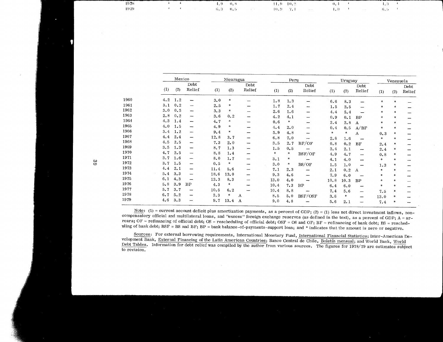|      |     | Mexico |                          |      | Nicaragua |                                                                                                                                                                                                                                |        | Peru   |                |        | Uruguay |                               |             |        | Venezuela      |  |  |
|------|-----|--------|--------------------------|------|-----------|--------------------------------------------------------------------------------------------------------------------------------------------------------------------------------------------------------------------------------|--------|--------|----------------|--------|---------|-------------------------------|-------------|--------|----------------|--|--|
|      | (1) | (2)    | Debt<br>Relief           | (1)  | (2)       | Debt<br>Relief                                                                                                                                                                                                                 | (1)    | (2)    | Debt<br>Relief | (1)    | (2)     | Debt<br>Relief                | (1)         | (2)    | Debt<br>Relief |  |  |
| 1960 | 4.2 | 1.2    |                          | 3,0  | $\ast$    |                                                                                                                                                                                                                                | 1.8    | 1, 3   |                | 6.6    | 8.3     |                               | *           | $\ast$ |                |  |  |
| 1961 | 3.1 | 0.2    | $\overline{\phantom{0}}$ | 2.5  | $\ast$    |                                                                                                                                                                                                                                | 1.7    | 2.4    | ļ              | 1.5    | 2.5     |                               | $\ast$      | *      |                |  |  |
| 1962 | 3.0 | 0.5    | ļ                        | 3.3  | $\ast$    | ---                                                                                                                                                                                                                            | 2.6    | 1.6    | —              | 4.4    | 5.4     |                               | *           | $\ast$ |                |  |  |
| 1963 | 2,8 | 0.2    | ---                      | 3.6  | 0.2       |                                                                                                                                                                                                                                | 4.2    | 4.1    |                | 0.9    | 0, 1    | <b>BP</b>                     | $\ast$      | $\ast$ |                |  |  |
| 1964 | 4.3 | 1.4    | --                       | 4.7  | *         |                                                                                                                                                                                                                                | 0.6    | $\ast$ | --             | 2.4    | 2.8     | A                             | $\ast$      | $\ast$ |                |  |  |
| 1965 | 4.0 | 1.5    | ---                      | 4.9  | $\ast$    |                                                                                                                                                                                                                                | 4.4    | 2.0    | -              | 0.4    | 0.5     | A/BF                          | $\ast$      | $\ast$ |                |  |  |
| 1966 | 3.4 | 1.2    | —.                       | 9.4  | $\ast$    |                                                                                                                                                                                                                                | 5.9    | 4.8    |                | $\ast$ | $\ast$  | A                             | 0.3         | $\ast$ |                |  |  |
| 1967 | 4.4 | 2.4    | -                        | 12.8 | 3.7       |                                                                                                                                                                                                                                | 6.8    | 7.0    | --             | 2.8    | 1.6     |                               | $\ast$      | $\ast$ |                |  |  |
| 1968 | 4.5 | 2.5    | -                        | 7.3  | 2.0       | mman and state of the property of the content of the content of the content of the content of the content of the content of the content of the content of the content of the content of the content of the content of the cont | 3.5    | 2.7    | BF/OF          | 0.8    | 0.2     | BF                            | 2.4         | $\ast$ |                |  |  |
| 1969 | 3.5 | 1.3    | $\overline{\phantom{0}}$ | 8.7  | 1.3       |                                                                                                                                                                                                                                | 1.5    | 0.5    |                | 3,4    | 2.1     |                               | 2.4         | $\ast$ |                |  |  |
| 1970 | 4.7 | 2.5    | -                        | 8.8  | 1.4       |                                                                                                                                                                                                                                | $\ast$ | $\ast$ | BSF/OF         | 4.9    | 4.7     |                               | 0.8         | $\ast$ |                |  |  |
| 1971 | 3.7 | 1.6    |                          | 8.0  | 1.7       |                                                                                                                                                                                                                                | 3.1    | $\ast$ |                | 4,1    | 4.0     | -                             | $\ast$      | $\ast$ |                |  |  |
| 1972 | 3.7 | 1.5    | $\overline{\phantom{0}}$ | 0, 5 | *         | --                                                                                                                                                                                                                             | 3.0    | $\ast$ | BS/OF          | 1.5    | 1,0     |                               | 1.3         | $\ast$ |                |  |  |
| 1973 | 4.4 | 2.1    | -                        | 11.4 | 5.6       |                                                                                                                                                                                                                                | 7.1    | 2.3    |                | 2.1    | 0.2     | A                             | $\ast$      | $\ast$ |                |  |  |
| 1974 | 5.4 | 3.3    | --                       | 18.6 | 13.0      |                                                                                                                                                                                                                                | 9.3    | 4.6    | -              | 7.9    | 6.0     |                               | $\ast$      | $\ast$ |                |  |  |
| 1975 | 6.1 | 4.3    |                          | 13,3 | 8.3       | --                                                                                                                                                                                                                             | 13.0   | 4.0    | -              | 10.8   | 10.3    | BP                            | $\ast$      | $\ast$ |                |  |  |
| 1976 | 5.8 | 3.9    | BP                       | 4.3  | $\ast$    |                                                                                                                                                                                                                                | 10.4   | 7.3    | BP             | 6.4    | 6.0     |                               | $\ast$      | $\ast$ |                |  |  |
| 1977 | 5.7 | 3.7    | -                        | 10.5 | 6.2       |                                                                                                                                                                                                                                | 10.4   | 8.8    |                | 7.4    | 5.6     |                               |             | $\ast$ |                |  |  |
| 1978 | 6.7 | 5.2    | -                        | 3.3  | $\ast$    | A                                                                                                                                                                                                                              | 8.5    | 5.0    | BSF/OSF        | 3.6    | $\ast$  | -                             | 7.5         | $\ast$ |                |  |  |
| 1979 | 4.6 | 3.3    | ند                       | 9.7  | 13.4      | $\mathbf A$                                                                                                                                                                                                                    | 9.0    | 4.8    |                | 5.6    | 2.1     | —<br>$\overline{\phantom{a}}$ | 13.0<br>7.4 | $\ast$ |                |  |  |

Note: (1) = current account deficit plus amortization payments, as a percent of GDP; (2) = (1) less net direct investment inflows, noncompensatory official and multilateral loans, and "excess" foreign exchange reserves (as defined in the text), as a percent of GDP; A= arrears; OF = refinancing of official debt; OS = rescheduling of official debt; OSF = OS and OF; BF = refinancing of bank debt; BS = rescheduling of bank debt; BSF = BS and BF; BP = bank balance-of-payments-support loan; and \* indicates that the amount is zero or negative.

Sources: For external borrowing requirements, International Monetary Fund, International Financial Statistics; Inter-American Development Bank, External Financing of the Latin American Countries; Banco Central de Chile, Boletfn mensual; and World Bank, World Debt Tables. Information for debt relief was compiled by the author from various sources. The figures for 1978/79 are estimates subject to revision.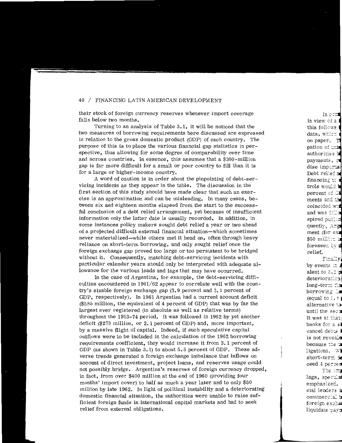their stock of foreign currency reserves whenever import coverage falls below two months.

Turning to an analysis of Table 3.1, it will be noticed that the two measures of borrowing requirements here discussed are expressed in relation to the gross domestic product (GDP) of each country. The purpose of this is to place the various financial gap statistics in perspective, thus allowing for some- degree of comparability over time and across countries. In essence, this assumes that a \$300-million gap is far more difficult for a small or poor country to fill than it is for a large or higher-income country.

*A* word of caution is in order about the pinpointing of debt-servicing incidents as they appear in the table. The discussion in the first section of this study should have made clear that such an exercise is an approximation and can be misleading. In many cases, between six and eighteen months elapsed from the start to the successful conclusion of a debt relief arrangement, yet because of insufficient information only the latter date is usually recorded. In addition, in some instances policy makers sought debt relief a year or two ahead of a projected difficult external financial situation-which sometimes never materialized-while others met it head on, often through heayy reliance on short-term borrowing, and only sought relief once the foreign exchange gap proved too large or too persistent to be bridged without it. Consequently, matching debt-servicing incidents with particular calendar years should only be interpreted with adequate allowance for the various leads and lags that may have occurred.

In the case of Argentina, for example, the debt-servicing difficulties encountered in 1961/62 appear to correlate well with the country's sizable foreign exchange gap (3. 9 percent and 3. 1 percent of GDP, respectively). In 1961 Argentina had a current account deficit (\$585 million, the equivalent of 4 percent of GDP) that was by far the largest ever registered (in absolute as well as relative terms) throughout the 1953-74 period. It was followed in 1962 by yet another deficit (\$273 million, or 2.1 percent of GDP) and, more important, by a massive flight of capital. Indeed, if such speculative capital outflows were to be included in the calculation of the 1962 borrowing requirements coefficient, they would increase it from 3.1 percent of GDP (as shown in Table 3. 1) to about 5. 5 percent of GDP. These adverse trends generated a foreign exchange imbalance that inflows on account of direct investment, project loans, and reserves usage could not possibly bridge. Argentina's reserves of foreign currency dropped, in fact, from over \$400 million at the end of 1960 (providing four months' import cover) to half as much a year later and to only \$50 million by late 1962. In light of political instability and a deteriorating domestic financial situation, the authorities were unable to raise sufficient foreign funds in international capital markets and had to seek relief from external obligations.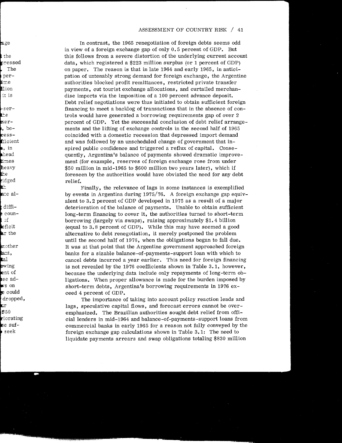In contrast, the 1965 renegotiation of foreign debts seems odd in view of a foreign exchange gap of only 0. 5 percent of GDP. But this follows from a severe distortion of the underlying current account data, which registered a \$223 million surplus (or 1 percent of GDP) on paper. The reason is that in late 1964 and early 1965, in anticipation of untenably strong demand for foreign exchange, the Argentine authorities blocked profit remittances, restricted private transfer payments, cut tourist exchange allocations, and curtailed merchandise imports via the imposition of a 100 percent advance deposit. Debt relief negotiations were thus initiated to obtain sufficient foreign financing to meet a backlog of transactions that in the absence of controls would have generated a borrowing requirements gap of over 2 percent of GDP. Yet the successful conclusion of debt relief arrangements and the lifting of exchange controls in the second half of 1965 coincided with a domestic recession that depressed import demand and was followed by an unscheduled change of government that inspired public confidence and triggered a reflux of capital. Consequently, Argentina's balance of payments showed dramatic improvement (for example, reserves of foreign exchange rose from under \$50 million in mid-1965 to \$600 million two years later), which if foreseen by the authorities would have obviated the need for any debt relief.

Finally, the relevance of lags in some instances is exemplified by events in Argentina during 1975/76. A foreign exchange gap equivalent to 3. 2 percent of GDP developed in 1975 as a result of a major deterioration of the balance of payments. Unable to obtain sufficient long-term financing to cover it, the authorities turned to short-term borrowing (largely via swaps), raising approximately \$1.4 billion (equal to 3. 8 percent of GDP). While this may have seemed a good alternative to debt renegotiation, it merely postponed the problem until the second half of 1976, when the obligations began to fall due. It was at that point that the Argentine government approached foreign banks for a sizable balance-of-payments-support loan with which to cancel debts incurred a year earlier. This need for foreign financing is not revealed by the 1976 coefficients shown in Table 3.1, however, because the underlying data include only repayments of long-term obligations. When proper allowance is made for the burden imposed by short-term debts, Argentina's borrowing requirements in 1976 exceed 4 percent of GDP.

The importance of taking into account policy reaction leads and lags, speculative capital flows, and forecast errors cannot be overemphasized. The Brazilian authorities sought debt relief from official lenders in mid-1964 and balance-of-payments-support loans from commercial banks in early 1965 for a reason not fully conveyed by the foreign exchange gap calculations shown in Table 3.1: The need to liquidate payments arrears and swap obligations totaling \$830 million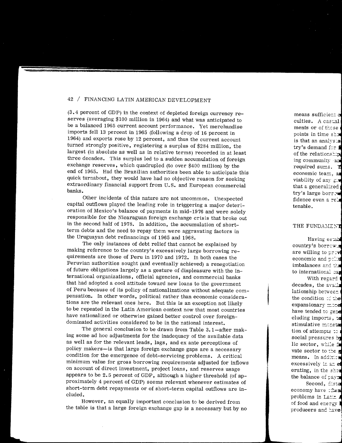(3. 4 percent of GDP) in the context of depleted foreign currency reserves (averaging \$100 million in 1964) and what was anticipated to be a balanced 1965 current account performance. Yet merchandise imports fell 13 percent in 1965 (following a drop of 16 percent in 1964) and exports rose by 12 percent, and thus the current account turned strongly positive, registering a surplus of \$284 million, the largest (in absolute as well as in relative terms) recorded in at least three decades. This surplus led to a sudden accumulation of foreign exchange reserves, which quadrupled (to over \$400 million) by the end of 1965. Had the Brazilian authorities been able to anticipate this quick turnabout, they would have had no objective reason for seeking extraordinary financial support from U.S. and European commercial banks.

Other incidents of this nature are not uncommon. Unexpected capital outflows played the leading role in triggering a major deterioration of Mexico's balance of payments in mid-1976 and were solely responsible for the Nicaraguan foreign exchange crisis that broke out in the second half of 1978. In addition, the accumulation of shortterm debts and the need to repay them were aggravating factors in the Uruguayan debt refinancings of 1965 and 1968.

The only instances of debt relief that cannot be explained by making reference to the country's excessively large borrowing requirements are those of Peru in 1970 and 1972. In both cases the Peruvian authorities sought (and eventually achieved) a renegotiation of future obligations largely as a gesture of displeasure with the international organizations, official agencies, and commercial banks that had adopted a cool attitude toward new loans to the government of Peru because of its policy of nationalizations without adequate compensation. In other words, political rather than economic considerations are the relevant ones here. But this is an exception not likely to be repeated in the Latin American context now that most countries have nationalized or otherwise gained better control over foreigndominated activities considered to be in the national interest.

The general conclusion to be drawn from Table 3.1-after making some ad hoc adjustments for the inadequacy of the available data as well as for the relevant leads, lags, and ex ante perceptions of policy makers-is that large foreign exchange gaps are a necessary condition for the emergence of debt-servicing problems. A critical minimum value for gross borrowing requirements adjusted for inflows on account of direct investment, project loans, and reserves usage appears to be 2. 5 percent of GDP, although a higher threshold (of approximately 4 percent of GDP) seems relevant whenever estimates of short-term debt repayments or of short-term capital outflows are included.

However, an equally important conclusion to be derived from the table is that a large foreign exchange gap is a necessary but by no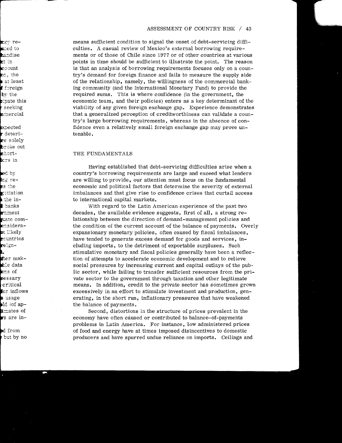means sufficient condition to signal the onset of debt-servicing difficulties. A casual review of Mexico's external borrowing requirements or of those of Chile since 1977 or of other countries at various points in time should be sufficient to illustrate the point. The reason is that an analysis of borrowing requirements focuses only on a country's demand for foreign finance and fails to measure the supply side of the relationship, namely, the willingness of the commercial banking community (and the International Monetary Fund) to provide the required sums. This is where confidence (in the government, the economic team, and their policies) enters as a key determinant of the viability of any given foreign exchange gap. Experience demonstrates that a generalized perception of creditworthiness can validate a country's large borrowing requirements, whereas in the absence of confidence even a relatively small foreign exchange gap may prove untenable.

#### THE FUNDAMENTALS

Having established that debt-servicing difficulties arise when a country's borrowing requirements are large and exceed what lenders are willing to provide, our attention must focus on the fundamental economic and political factors that determine the severity of external imbalances and that give rise to confidence crises that curtail access to international capital markets.

With regard to the Latin American experience of the past two decades, the available evidence suggests, first of all, a strong relationship between the direction of demand-management policies and the condition of the current account of the balance of payments. Overly expansionary monetary policies, often caused by fiscal imbalances, have tended to generate excess demand for goods and services, including imports, to the detriment of exportable surpluses. Such stimulative monetary and fiscal policies generally have been a reflection of attempts to accelerate economic development and to relieve social pressures by increasing current and capital outlays of the public sector, while failing to transfer sufficient resources from the private sector to the government through taxation and other legitimate means. In addition, credit to the private sector has sometimes grown excessively in an effort to stimulate investment and production, generating, in the short run, inflationary pressures that have weakened the balance of payments.

Second, distortions in the structure of prices prevalent in the economy have often caused or contributed to balance-of-payments problems in Latin America. For instance, low administered prices of food and energy have at times imposed disincentives to domestic producers and have spurred undue reliance on imports. Ceilings and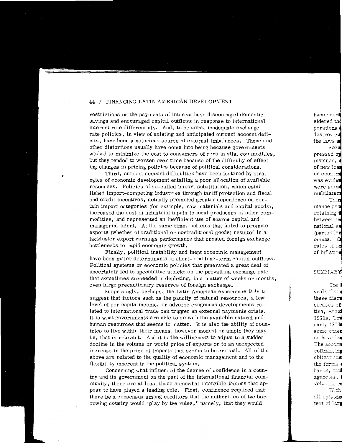•

restrictions on the payments of interest have discouraged domestic savings and encouraged capital outflows in response to international interest rate differentials. And, to be sure, inadequate exchange rate policies, in view of existing and anticipated current account deficits, have been a notorious source of external imbalances. These and other distortions usually have come into being because governments wished to minimize the cost to consumers of certain vital commodities, but they tended to worsen over time because of the difficulty of effecting changes in pricing policies because of political considerations.

Third, current account difficulties have been fostered by strategies of economic development entailing a poor allocation of available resources. Policies of so-called import substitution, which established import-competing industries through tariff protection and fiscal and credit incentives, actually promoted greater dependence on certain import categories (for example, raw materials and capital goods), increased the cost of industrial inputs to local producers of other commodities, and represented an inefficient use of scarce capital and managerial talent. At the same time, policies that failed to promote exports (whether of traditional or nontraditional goods) resulted in a lackluster export earnings performance that created foreign exchange bottlenecks to rapid economic growth.

Finally, political instability and inept economic management have been major determinants of short- and long-term capital outflows. Political systems or economic policies that generated a great deal of uncertainty led to speculative attacks on the prevailing exchange rate that sometimes succeeded in depleting, in a matter of weeks or months, even large precautionary reserves of foreign exchange.

Surprisingly, perhaps, the Latin American experience fails to suggest that factors such as the paucity of natural resources, a low level of per capita income, or adverse exogenous developments related to international trade can trigger an external payments crisis, It is what governments are able to do with the available natural and human resources that seems to matter. It is also the ability of countries to live within their means, however modest or ample they may be, that is relevant. And it is the willingness to adjust to a sudden decline in the volume or world price of exports or to an unexpected increase in the price of imports that seems to be critical. All of the above are related to the quality of economic management and to the flexibility inherent in the political system.

Concerning what influenced the degree of confidence in a country and its government on the part of the international financial community, there are at least three somewhat intangible factors that appear to have played a leading role. First, confidence required that there be a consensus among creditors that the authorities of the borrowing country would "play by the rules, " namely, that they would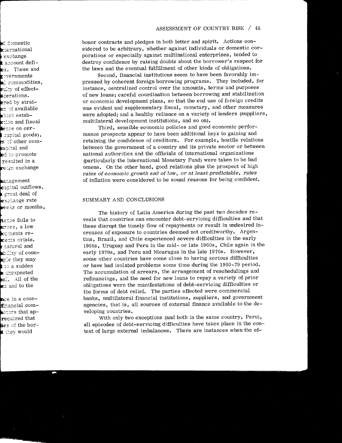honor contracts and pledges in both letter and spirit. Actions considered to be arbitrary, whether against individuals or domestic corporations or especially against multinational enterprises, tended to destroy confidence by raising doubts about the borrower's respect for the laws and the eventual fulfillment of other kinds of obligations .

Second, financial institutions seem to have been favorably impressed by coherent foreign borrowing programs. They included, for instance, centralized control over the amounts, terms and purposes of new loans; careful coordination between borrowing and stabilization or economic development plans, so that the end use of foreign credits was evident and supplementary fiscal, monetary, and other measures were adopted; and a healthy reliance on a variety of lenders (suppliers, multilateral development institutions, and so on).

Third, sensible economic policies and good economic performance prospects appear to have been additional keys to gaining and retaining the confidence of creditors. For example, hostile relations between the government of a country and its private sector or between national authorities and the officials of international organizations (particularly the International Monetary Fund) were taken to be bad omens. On the other hand, good relations plus the prospect of high rates of economic growth and of low, or at least predictable, rates of inflation were considered to be sound reasons for being confident.

#### SUMMARY AND CONCLUSIONS

The history of Latin America during the past two decades reveals that countries can encounter debt-servicing difficulties and that these disrupt the timely flow of repayments or result in undesired increases of exposure to countries deemed not creditworthy. Argentina, Brazil, and Chile experienced severe difficulties in the early 1960s, Uruguay and Peru in the mid- or late 1960s, Chile again in the early 1970s, and Peru and Nicaragua in the late 1970s. However, some other countries have come close to having serious difficulties or have had isolated problems some time during the 1960-79 period. The accumulation of arrears, the arrangement of reschedulings and refinancings, and the need for new loans to repay a variety of prior obligations were the manifestations of debt-servicing difficulties or the forms of debt relief. The parties affected were commercial banks, multilateral financial institutions, suppliers, and government agencies, that is, all sources of external finance available to the developing countries.

With only two exceptions (and both in the same country, Peru), all episodes of debt-servicing difficulties have taken place in the context of large external imbalances. There are instances when the ef-